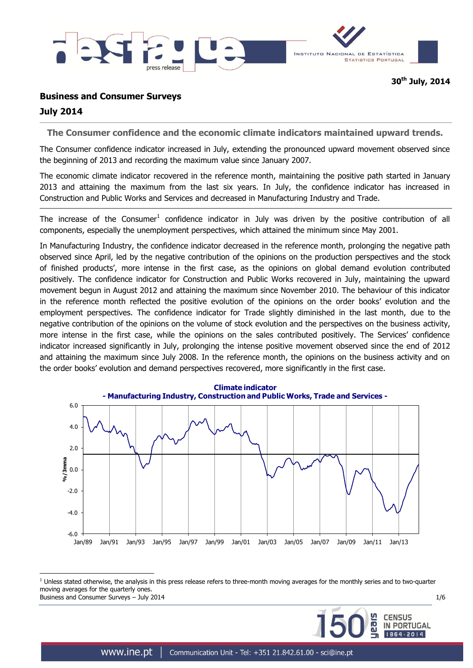

# **Business and Consumer Surveys**

# **July 2014**

 $\overline{a}$ 

**The Consumer confidence and the economic climate indicators maintained upward trends.**

The Consumer confidence indicator increased in July, extending the pronounced upward movement observed since the beginning of 2013 and recording the maximum value since January 2007.

The economic climate indicator recovered in the reference month, maintaining the positive path started in January 2013 and attaining the maximum from the last six years. In July, the confidence indicator has increased in Construction and Public Works and Services and decreased in Manufacturing Industry and Trade.

The increase of the Consumer<sup>1</sup> confidence indicator in July was driven by the positive contribution of all components, especially the unemployment perspectives, which attained the minimum since May 2001.

In Manufacturing Industry, the confidence indicator decreased in the reference month, prolonging the negative path observed since April, led by the negative contribution of the opinions on the production perspectives and the stock of finished products', more intense in the first case, as the opinions on global demand evolution contributed positively. The confidence indicator for Construction and Public Works recovered in July, maintaining the upward movement begun in August 2012 and attaining the maximum since November 2010. The behaviour of this indicator in the reference month reflected the positive evolution of the opinions on the order books' evolution and the employment perspectives. The confidence indicator for Trade slightly diminished in the last month, due to the negative contribution of the opinions on the volume of stock evolution and the perspectives on the business activity, more intense in the first case, while the opinions on the sales contributed positively. The Services' confidence indicator increased significantly in July, prolonging the intense positive movement observed since the end of 2012 and attaining the maximum since July 2008. In the reference month, the opinions on the business activity and on the order books' evolution and demand perspectives recovered, more significantly in the first case.



Business and Consumer Surveys – July 2014 1/6 and the state of the state of the state of the state of the state of the state of the state of the state of the state of the state of the state of the state of the state of the  $<sup>1</sup>$  Unless stated otherwise, the analysis in this press release refers to three-month moving averages for the monthly series and to two-quarter</sup> moving averages for the quarterly ones.

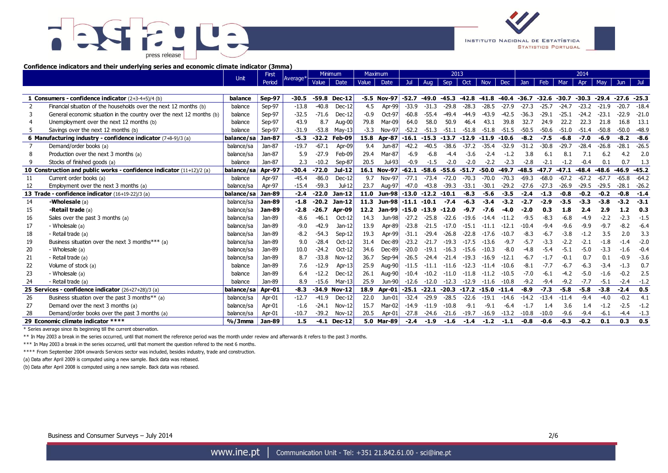



### **Confidence indicators and their underlying series and economic climate indicator (3mma)**

|                                                                    |                                                                                                                                                                                                                                       | First<br>Unit |               | Average <sup>*</sup> | Minimum |               | Maximum |               | 2013    |                |               |         |            |                |            |         |         | 2014    |         |               |         |
|--------------------------------------------------------------------|---------------------------------------------------------------------------------------------------------------------------------------------------------------------------------------------------------------------------------------|---------------|---------------|----------------------|---------|---------------|---------|---------------|---------|----------------|---------------|---------|------------|----------------|------------|---------|---------|---------|---------|---------------|---------|
|                                                                    |                                                                                                                                                                                                                                       |               | Period        |                      | Value   | Date          | Value   | Date          | Jul -   | Aug            | Sep           | Oct     | <b>Nov</b> | Dec            | <b>Jan</b> | Feb     | Mar     | Apr     | May     | Jun           |         |
|                                                                    |                                                                                                                                                                                                                                       |               |               |                      |         |               |         |               |         |                |               |         |            |                |            |         |         |         |         |               |         |
|                                                                    | 1 Consumers - confidence indicator $(2+3-4+5)/4$ (b)                                                                                                                                                                                  | balance       | Sep-97        | $-30.5$              |         | -59.8 Dec-12  |         | -5.5 Nov-97   | $-52.7$ | $-49.0$        | $-45.3$       | $-42.8$ | $-41.8$    | $-40.4$        | $-36.7$    | $-32.6$ | $-30.7$ | $-30.3$ | $-29.4$ | $-27.6 -25.3$ |         |
| 2                                                                  | Financial situation of the households over the next 12 months (b)                                                                                                                                                                     | balance       | Sep-97        | $-13.8$              | $-40.8$ | $Dec-12$      | 4.5     | Apr-99        | $-33.9$ | $-31.3$        | $-29.8$       | $-28.3$ | $-28.5$    | $-27.9$        | $-27.3$    | $-25.7$ | $-24.7$ | $-23.2$ | $-21.9$ | $-20.7$       | $-18.4$ |
| 3                                                                  | General economic situation in the country over the next 12 months (b)                                                                                                                                                                 | balance       | Sep-97        | $-32.5$              | $-71.6$ | $Dec-12$      | $-0.9$  | Oct-97        | $-60.8$ | $-55.4$        | $-49.4$       | -44.9   | $-43.9$    | $-42.5$        | $-36.3$    | $-29.1$ | $-25.1$ | $-24.2$ | $-23.1$ | $-22.9$       | $-21.0$ |
|                                                                    | Unemployment over the next 12 months (b)                                                                                                                                                                                              | balance       | Sep-97        | 43.9                 | 8.7     | Aug-00        | 79.8    | Mar-09        | 64.0    | 58.0           | 50.9          | 46.4    | 43.1       | 39.8           | 32.7       | 24.9    | 22.2    | 22.3    | 21.8    | 16.8          | 13.1    |
|                                                                    | Savings over the next 12 months (b)                                                                                                                                                                                                   | balance       | Sep-97        | $-31.9$              | $-53.8$ | May-13        | $-3.3$  | Nov-97        | $-52.2$ | $-51.3$        | $-51.1$       | $-51.8$ | $-51.8$    | $-51.5$        | $-50.5$    | $-50.6$ | $-51.0$ | $-51.4$ | $-50.8$ | $-50.0$       | $-48.9$ |
|                                                                    | 6 Manufacturing industry - confidence indicator (7+8-9)/3 (a)                                                                                                                                                                         | balance/sa    | Jan-87        | $-5.3$               | $-32.2$ | Feb-09        | 15.8    | <b>Apr-87</b> | $-16.1$ | $-15.3 -13.7$  |               | $-12.9$ | $-11.9$    | $-10.6$        | $-8.2$     | $-7.5$  | $-6.8$  | $-7.0$  | $-6.9$  | $-8.2$        | $-8.6$  |
| $\overline{7}$                                                     | Demand/order books (a)                                                                                                                                                                                                                | balance/sa    | Jan-87        | $-19.7$              | $-67.1$ | Apr-09        | 9.4     | Jun-87        | $-42.2$ | $-40.5$        | $-38.6$       | $-37.2$ | $-35.4$    | $-32.9$        | $-31.2$    | $-30.8$ | $-29.7$ | $-28.4$ | $-26.8$ | $-28.1$       | $-26.5$ |
|                                                                    | Production over the next 3 months (a)                                                                                                                                                                                                 | balance/sa    | Jan-87        | 5.9                  | $-27.9$ | Feb-09        | 29.4    | Mar-87        | $-6.9$  | $-6.8$         | $-4.4$        | $-3.6$  | $-2.4$     | $-1.2$         | 3.8        | 6.1     | 8.1     | 7.1     | 6.2     | 4.2           | 2.0     |
| 9                                                                  | Stocks of finished goods (a)                                                                                                                                                                                                          | balance       | Jan-87        | 2.3                  | $-10.2$ | Sep-87        | 20.5    | Jul-93        | $-0.9$  | $-1.5$         | $-2.0$        | $-2.0$  | $-2.2$     | $-2.3$         | $-2.8$     | $-2.1$  | $-1.2$  | $-0.4$  | 0.1     | 0.7           | 1.3     |
|                                                                    | 10 Construction and public works - confidence indicator (11+12)/2 (a)                                                                                                                                                                 | balance/sa    | Apr-97        | $-30.4$              | $-72.0$ | $Jul-12$      |         | 16.1 Nov-97   | $-62.1$ | $-58.6$        | -55.6         | $-51.7$ | $-50.0$    | $-49.7$        | $-48.5$    | $-47.7$ | $-47.1$ | $-48.4$ | $-48.6$ | $-46.9$       | $-45.2$ |
| 11                                                                 | Current order books (a)                                                                                                                                                                                                               | balance       | Apr-97        | $-45.4$              | $-86.0$ | $Dec-12$      | 9.7     | <b>Nov-97</b> | $-77.1$ | $-73.4$        | $-72.0$       | $-70.3$ | $-70.0$    | $-70.3$        | $-69.3$    | $-68.0$ | $-67.2$ | $-67.2$ | $-67.7$ | $-65.8$       | $-64.2$ |
| 12                                                                 | Employment over the next 3 months (a)                                                                                                                                                                                                 | balance/sa    | Apr-97        | $-15.4$              | $-59.3$ | JuF12         | 23.7    | Aug-97        | $-47.0$ | $-43.8$        | $-39.3$       | $-33.1$ | $-30.1$    | $-29.2$        | $-27.6$    | $-27.3$ | $-26.9$ | $-29.5$ | $-29.5$ | $-28.1$       | $-26.2$ |
|                                                                    | 13 Trade - confidence indicator (16+19-22)/3 (a)                                                                                                                                                                                      | balance/sal   | Jan-89        | $-2.4$               | $-22.0$ | Jan-12        | 11.0    | Jun-98        | $-13.0$ | $-12.2 - 10.1$ |               | $-8.3$  | -5.6       | $-3.5$         | $-2.4$     | $-1.3$  | $-0.8$  | $-0.2$  | $-0.2$  | $-0.8$        | $-1.4$  |
| 14                                                                 | -Wholesale (a)                                                                                                                                                                                                                        | balance/sa    | <b>Jan-89</b> | $-1.8$               | $-20.2$ | Jan-12        | 11.3    | <b>Jun-98</b> | $-11.1$ | $-10.1$        | $-7.4$        | $-6.3$  | $-3.4$     | $-3.2$         | $-2.7$     | $-2.9$  | $-3.5$  | $-3.3$  | $-3.8$  | $-3.2$        | $-3.1$  |
| 15                                                                 | -Retail trade (a)                                                                                                                                                                                                                     | balance/sa    | <b>Jan-89</b> | $-2.8$               | -26.7   | Apr-09        | 12.2    | Jan-99        | $-15.0$ | $-13.9 - 12.0$ |               | $-9.7$  | $-7.6$     | -4.0           | $-2.0$     | 0.3     | 1.8     | 2.4     | 2.9     | 1.2           | 0.3     |
| 16                                                                 | Sales over the past 3 months (a)                                                                                                                                                                                                      | balance/sa    | Jan-89        | $-8.6$               | $-46.1$ | $Oct-12$      | 14.3    | Jun-98        | $-27.2$ | $-25.8$        | $-22.6$       | $-19.6$ | $-14.4$    | $-11.2$        | $-9.5$     | $-8.3$  | $-6.8$  | $-4.9$  | $-2.2$  | $-2.3$        | $-1.5$  |
| 17                                                                 | - Wholesale (a)                                                                                                                                                                                                                       | balance/sa    | Jan-89        | $-9.0$               | $-42.9$ | $Jan-12$      | 13.9    | Apr-89        | $-23.8$ | $-21.5$        | $-17.0$       | $-15.1$ | $-11.1$    | $-12.1$        | $-10.4$    | $-9.4$  | $-9.6$  | $-9.9$  | $-9.7$  | $-8.2$        | $-6.4$  |
| 18                                                                 | - Retail trade (a)                                                                                                                                                                                                                    | balance/sa    | Jan-89        | $-8.2$               | $-54.3$ | $Sep-12$      | 19.3    | Apr-99        | $-31.1$ | $-29.4$        | $-26.8$       | $-22.8$ | -17.6      | $-10.7$        | $-8.3$     | $-6.7$  | $-3.8$  | $-1.2$  | 3.5     | 2.0           | 3.3     |
| 19                                                                 | Business situation over the next 3 months*** (a)                                                                                                                                                                                      | balance/sa    | Jan-89        | 9.0                  | $-28.4$ | Oct-12        | 31.4    | Dec-89        | $-23.2$ | $-21.7$        | $-19.3$       | $-17.5$ | $-13.6$    | $-9.7$         | $-5.7$     | $-3.3$  | $-2.2$  | $-2.1$  | $-1.8$  | $-1.4$        | $-2.0$  |
| 20                                                                 | - Wholesale (a)                                                                                                                                                                                                                       | balance/sa    | Jan-89        | 10.0                 | $-24.2$ | Oct-12        | 34.6    | Dec-89        | $-20.0$ | $-19.1$        | $-16.3$       | $-15.6$ | $-10.3$    | $-8.0$         | $-4.8$     | $-5.4$  | $-5.1$  | $-5.0$  | $-3.3$  | $-1.6$        | $-0.4$  |
| 21                                                                 | - Retail trade (a)                                                                                                                                                                                                                    | balance/sa    | Jan-89        | 8.7                  | $-33.8$ | $Nov-12$      | 36.7    | Sep-94        | $-26.5$ | $-24.4$        | $-21.4$       | $-19.3$ | $-16.9$    | $-12.1$        | $-6.7$     | $-1.7$  | $-0.1$  | 0.7     | 0.1     | $-0.9$        | $-3.6$  |
| 22                                                                 | Volume of stock (a)                                                                                                                                                                                                                   | balance       | Jan-89        | 7.6                  | $-12.9$ | Apr-13        | 25.9    | Aug-90        | $-11.5$ | $-11.1$        | $-11.6$       | $-12.3$ | $-11.4$    | $-10.6$        | $-8.1$     | $-7.7$  | $-6.7$  | $-6.3$  | $-3.4$  | $-1.3$        | 0.7     |
| 23                                                                 | - Wholesale (a)                                                                                                                                                                                                                       | balance       | Jan-89        | 6.4                  | $-12.2$ | $Dec-12$      | 26.1    | Aug-90        | $-10.4$ | $-10.2$        | $-11.0$       | $-11.8$ | $-11.2$    | $-10.5$        | $-7.0$     | $-6.1$  | $-4.2$  | $-5.0$  | $-1.6$  | $-0.2$        | 2.5     |
| 24                                                                 | - Retail trade (a)                                                                                                                                                                                                                    | balance       | Jan-89        | 8.9                  | $-15.6$ | $Mar-13$      | 25.9    | Jun-90        | $-12.6$ |                | $-12.0 -12.3$ | $-12.9$ |            | $-11.6 - 10.8$ | $-9.2$     | $-9.4$  | $-9.2$  | $-7.7$  | $-5.1$  | $-2.4$        | $-1.2$  |
|                                                                    | 25 Services - confidence indicator (26+27+28)/3 (a)                                                                                                                                                                                   | balance/sa    | Apr-01        | $-8.3$               | $-34.9$ | <b>Nov-12</b> | 18.9    | Apr-01        | $-25.1$ | $-22.1 - 20.3$ |               | $-17.2$ | $-15.0$    | $-11.4$        | $-8.9$     | $-7.3$  | $-5.8$  | $-5.8$  | $-3.8$  | $-2.4$        | 0.5     |
| 26                                                                 | Business situation over the past 3 months** (a)                                                                                                                                                                                       | balance/sa    | Apr-01        | $-12.7$              | $-41.9$ | $Dec-12$      | 22.0    | $Jun-01$      | $-32.4$ | $-29.9$        | $-28.5$       | $-22.6$ | $-19.1$    | $-14.6$        | $-14.2$    | $-13.4$ | $-11.4$ | $-9.4$  | $-4.0$  | $-0.2$        | 4.1     |
| 27                                                                 | Demand over the next 3 months (a)                                                                                                                                                                                                     | balance/sa    | Apr-01        | $-1.6$               | $-24.1$ | $Nov-12$      | 15.7    | Mar-02        | $-14.9$ | $-11.9$        | $-10.8$       | $-9.1$  | $-9.1$     | $-6.4$         | $-1.7$     | 1.4     | 3.6     | 1.4     | $-1.2$  | $-2.5$        | $-1.2$  |
| 28                                                                 | Demand/order books over the past 3 months (a)                                                                                                                                                                                         | balance/sa    | Apr-01        | $-10.7$              | $-39.2$ | $Nov-12$      | 20.5    | Apr-01        | $-27.8$ | -24.6          | $-21.6$       | $-19.7$ | $-16.9$    | $-13.2$        | $-10.8$    | $-10.0$ | $-9.6$  | $-9.4$  | $-6.1$  | $-4.4$        | $-1.3$  |
|                                                                    | 29 Economic climate indicator ****<br>$%$ /3mma<br><b>Jan-89</b><br>1.5<br>$-4.1$<br><b>Dec-12</b><br>5.0<br>Mar-89<br>$-2.4$<br>$-1.9$<br>$-1.6$<br>$-1.4$<br>$-1.2$<br>$-1.1$<br>$-0.8$<br>$-0.6$<br>$-0.3$<br>$-0.2$<br>0.1<br>0.3 |               |               |                      |         |               |         |               | 0.5     |                |               |         |            |                |            |         |         |         |         |               |         |
| * Series average since its beginning till the current observation. |                                                                                                                                                                                                                                       |               |               |                      |         |               |         |               |         |                |               |         |            |                |            |         |         |         |         |               |         |
|                                                                    | ** In May 2003 a break in the series occurred, until that moment the reference period was the month under review and afterwards it refers to the past 3 months.                                                                       |               |               |                      |         |               |         |               |         |                |               |         |            |                |            |         |         |         |         |               |         |

\*\*\* In May 2003 a break in the series occurred, until that moment the question refered to the next 6 months.

\*\*\*\* From September 2004 onwards Services sector was included, besides industry, trade and construction.

(a) Data after April 2009 is computed using a new sample. Back data was rebased.

(b) Data after April 2008 is computed using a new sample. Back data was rebased.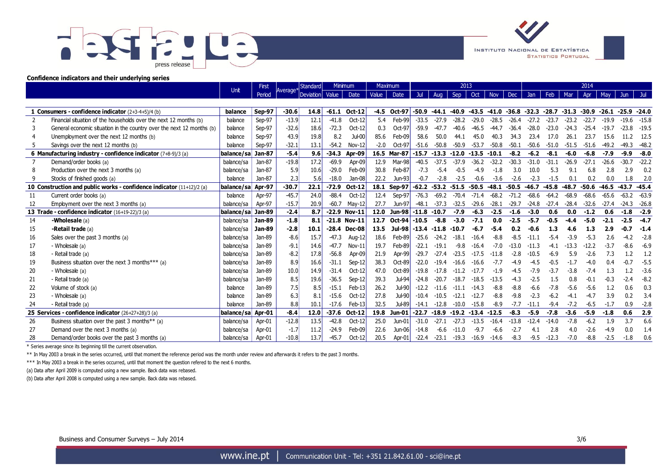



#### **Confidence indicators and their underlying series**

|                |                                                                       | Unit              | First         | Standard<br>Average* |             | <b>M</b> nmum |                | Maximum |                 | 2013    |         |         |         |            |         |         |                |         |         | 2014                  |         |         |  |
|----------------|-----------------------------------------------------------------------|-------------------|---------------|----------------------|-------------|---------------|----------------|---------|-----------------|---------|---------|---------|---------|------------|---------|---------|----------------|---------|---------|-----------------------|---------|---------|--|
|                |                                                                       |                   | Period        |                      | Deviation l | Value         | Date           | Value   | Date            | Jul     | Aug     | Sep     | Oct     | <b>Nov</b> | Dec     | Jan     | Feb            | Mar     | Apr     | May                   | Jun.    |         |  |
|                |                                                                       |                   |               |                      |             |               |                |         |                 |         |         |         |         |            |         |         |                |         |         |                       |         |         |  |
|                | 1 Consumers - confidence indicator (2+3-4+5)/4 (b)                    | balance           | <b>Sep-97</b> | $-30.6$              | 14.8        | $-61.1$       | $Oct-12$       |         | $-4.5$ Oct-97   | $-50.9$ | $-44.1$ | $-40.9$ | $-43.5$ | $-41.0$    | $-36.8$ | $-32.3$ | $-28.7 - 31.3$ |         | $-30.9$ | $-26.1 - 25.9 - 24.0$ |         |         |  |
| $\overline{2}$ | Financial situation of the households over the next 12 months (b)     | balance           | Sep-97        | $-13.9$              | 12.1        | $-41.8$       | $Oct-12$       | 5.4     | Feb-99          | $-33.5$ | $-27.9$ | $-28.2$ | $-29.0$ | $-28.5$    | $-26.4$ | $-27.2$ | $-23.7$        | $-23.2$ | $-22.7$ | $-19.9$               | $-19.6$ | $-15.8$ |  |
|                | General economic situation in the country over the next 12 months (b) | balance           | Sep-97        | $-32.6$              | 18.6        | $-72.3$       | $Oct-12$       | 0.3     | $Oct-97$        | $-59.9$ | -47 7   | -40.6   | $-46.5$ | $-44.7$    | $-36.4$ | $-28.0$ | $-23.0$        | $-24$   | $-25.4$ | $-19.7$               | $-23.8$ | $-19.5$ |  |
|                | Unemployment over the next 12 months (b)                              | balance           | Sep-97        | 43.9                 | 19.8        | 8.2           | $Ju$ HOO       | 85.6    | Feb-09          | 58.6    | 50.0    | 44.1    | 45.0    | 40.3       | 34.3    | 23.4    | 17.0           | 26.1    | 23.7    | 15.6                  |         | 12.5    |  |
|                | Savings over the next 12 months (b)                                   | balance           | Sep-97        | $-32.1$              | 13.1        | $-54.2$       | $Nov-12$       | $-2.0$  | Oct-97          | $-51.6$ | $-50.8$ | $-50.9$ | $-53.7$ | $-50.8$    | $-50.1$ | $-50.6$ | $-51.0$        | $-51.5$ | $-51.6$ | $-49.2$               | $-49.3$ | $-48.2$ |  |
|                | 6 Manufacturing industry - confidence indicator (7+8-9)/3 (a)         | balance/sa Jan-87 |               | $-5.4$               | 9.6         | $-34.3$       | Apr-09         |         | 16.5 Mar-87     | $-15.7$ | $-13.3$ | $-12.0$ | $-13.5$ | $-10.1$    | $-8.2$  | $-6.2$  | $-8.1$         | $-6.0$  | $-6.8$  | $-7.9$                | $-9.9$  | $-8.0$  |  |
|                | Demand/order books (a)                                                | balance/sa        | Jan-87        | $-19.8$              | 17.2        | $-69.9$       | Apr-09         | 12.9    | Mar-98          | $-40.5$ | $-37.5$ | $-37.9$ | $-36.2$ | $-32.2$    | $-30.3$ | $-31.0$ | $-31.1$        | $-26.9$ | $-27.1$ | $-26.6$               | $-30.7$ | $-22.2$ |  |
|                | Production over the next 3 months (a)                                 | balance/sa        | Jan-87        | 5.9                  | 10.6        | $-29.0$       | Feb-09         | 30.8    | Feb-87          | $-7.3$  | $-5.4$  | $-0.5$  | $-4.9$  | $-1.8$     | 3.0     | 10.0    | 5.3            | 9.1     | 6.8     | 2.8                   | 2.9     | 0.2     |  |
|                | Stocks of finished goods (a)                                          | balance           | Jan-87        | 2.3                  | 5.6         | $-18.0$       | Jan-08         | 22.2    | $Jun-93$        | $-0.7$  | $-2.8$  | $-2.5$  | $-0.6$  | $-3.6$     | $-2.6$  | $-2.3$  | $-1.5$         | 0.1     | 0.2     | 0.0                   | 1.8     | 2.0     |  |
|                | 10 Construction and public works - confidence indicator (11+12)/2 (a) | balance/sal       | Apr-97        | $-30.7$              | 22.1        | $-72.9$       | Oct-12         | 18.1    | <b>Sep-97</b>   | $-62.2$ | $-53.2$ | $-51.5$ | $-50.5$ | $-48.1$    | $-50.5$ | $-46.7$ | $-45.8$        | $-48.7$ | $-50.6$ | $-46.5$               | $-43.7$ | -45.4   |  |
| 11             | Current order books (a)                                               | balance           | Apr-97        | $-45.7$              | 24.0        | $-88.4$       | $Oct-12$       | 12.4    | Sep-97          | $-76.3$ | $-69.2$ | $-70.4$ | $-71.4$ | $-68.2$    | $-71.2$ | $-68.6$ | $-64.2$        | $-68.9$ | $-68.6$ | $-65.6$               | $-63.2$ | $-63.9$ |  |
| 12             | Employment over the next 3 months (a)                                 | balance/sa        | Apr-97        | $-15.7$              | 20.9        | $-60.7$       | $May-12$       | 27.7    | Jun-97          | $-48.1$ | $-37.3$ | $-32.5$ | $-29.6$ | $-28.1$    | $-29.7$ | $-24.8$ | $-27.4$        | $-28.4$ | $-32.6$ | $-27.4$               | $-24.3$ | $-26.8$ |  |
|                | 13 Trade - confidence indicator (16+19-22)/3 (a)                      | balance/sa Jan-89 |               | $-2.4$               | 8.7         | $-22.9$       | <b>Nov-11</b>  | 12.0    | $Jun-98 - 11.8$ |         | $-10.7$ | $-7.9$  | $-6.3$  | $-2.5$     | $-1.6$  | $-3.0$  | 0.6            | 0.0     | $-1.2$  | 0.6                   | $-1.8$  | $-2.9$  |  |
| 14             | -Wholesale (a)                                                        | balance/sa        | Jan-89        | $-1.8$               | 8.1         |               | $-21.8$ Nov-11 | 12.7    | $Oct-94$ -10.5  |         | $-8.8$  | $-3.0$  | $-7.1$  | 0.0        | $-2.5$  | $-5.7$  | $-0.5$         | -4.4    | $-5.0$  | $-2.1$                | $-2.5$  | $-4.7$  |  |
| 15             | -Retail trade (a)                                                     | balance/sa        | <b>Jan-89</b> | $-2.8$               | 10.1        | $-28.4$       | Dec-08         | 13.5    | Jul-98          | $-13.4$ | $-11.8$ | $-10.7$ | $-6.7$  | $-5.4$     | 0.2     | $-0.6$  | 1.3            | 4.6     | 1.3     | 2.9                   |         | $-1.4$  |  |
| 16             | Sales over the past 3 months (a)                                      | balance/sa        | Jan-89        | $-8.6$               | 15.7        | $-47.3$       | Aug-12         | 18.6    | Feb-89          | $-25.6$ | $-24.2$ | $-18.1$ | $-16.4$ | $-8.8$     | $-8.5$  | $-11.1$ | $-5.4$         | $-3.9$  | $-5.3$  | 2.6                   | $-4.2$  | $-2.8$  |  |
| 17             | - Wholesale (a)                                                       | balance/sa        | Jan-89        | $-9.1$               | 14.6        | $-47.7$       | $Nov-11$       | 19.7    | Feb-89          | $-22.1$ | $-19.1$ | $-9.8$  | $-16.4$ | $-7.0$     | $-13.0$ | $-11.3$ | $-4.1$         | $-13.3$ | $-12.2$ | $-3.7$                | $-8.6$  | $-6.9$  |  |
| 18             | - Retail trade (a)                                                    | balance/sa        | Jan-89        | $-8.2$               | 17.8        | $-56.8$       | Apr-09         | 21.9    | Apr-99          | $-29.7$ | $-27.4$ | $-23.5$ | $-17.5$ | $-11.8$    | $-2.8$  | $-10.5$ | $-6.9$         | 5.9     | $-2.6$  | 7.3                   | 1.2     | 1.2     |  |
| 19             | Business situation over the next 3 months*** (a)                      | balance/sa        | Jan-89        | 8.9                  | 16.6        | $-31.1$       | $Sep-12$       | 38.3    | Oct-89          | $-22.0$ | $-19.4$ | $-16.6$ | $-16.6$ | $-7.7$     | -4.9    | $-4.5$  | $-0.5$         | $-1.7$  | $-4.0$  | 0.4                   |         | $-5.5$  |  |
| 20             | - Wholesale (a)                                                       | balance/sa        | Jan-89        | 10.0                 | 14.9        | $-31.4$       | $Oct-12$       | 47.0    | Oct-89          | $-19.8$ | $-17.8$ | $-11.2$ | $-17.7$ | $-1.9$     | -4.5    | $-7.9$  | $-3.7$         | $-3.8$  | $-7.4$  | 1.3                   |         | $-3.6$  |  |
| 21             | - Retail trade (a)                                                    | balance/sa        | Jan-89        | 8.5                  | 19.6        | $-36.5$       | $Sep-12$       | 39.3    | Jul-94          | $-24.8$ | $-20.7$ | $-18.7$ | $-18.5$ | $-13.5$    | $-4.3$  | $-2.5$  | 1.5            | 0.8     | $-0.1$  | $-0.3$                | $-2.4$  | $-8.2$  |  |
| 22             | Volume of stock (a)                                                   | balance           | Jan-89        | 7.5                  | 8.5         | $-15.1$       | $Feb-13$       | 26.2    | Jul-90          | $-12.2$ | $-11.6$ | $-11.1$ | -14.3   | $-8.8$     | $-8.8$  | $-6.6$  | $-7.8$         | $-5.6$  | $-5.6$  | 1.2                   | 0.6     | 0.3     |  |
| -23            | - Wholesale (a)                                                       | balance           | Jan-89        | 6.3                  | 8.1         | $-15.6$       | $Oct-12$       | 27.8    | Jul-90          | $-10.4$ | $-10.5$ | $-12.1$ | $-12.7$ | $-8.8$     | $-9.8$  | $-2.3$  | $-6.2$         | -4.1    | $-4.7$  | 3.9                   | 0.2     | 3.4     |  |
| 24             | - Retail trade (a)                                                    | balance           | Jan-89        | 8.8                  | 10.1        | $-17.6$       | $Feb-13$       | 32.5    | Jul-89          | $-14.1$ | -12.8   | $-10.0$ | $-15.8$ | $-8.9$     | $-7.7$  | $-11.1$ | $-9.4$         | $-7.2$  | $-6.5$  | $-1.7$                | 0.9     | $-2.8$  |  |
|                | 25 Services - confidence indicator (26+27+28)/3 (a)                   | balance/sal       | Apr-01        | $-8.4$               | 12.0        | $-37.6$       | Oct-12         | 19.8    | $Jun-01$        | $-22.7$ | $-18.9$ | $-19.2$ | $-13.4$ | $-12.5$    | $-8.3$  | $-5.9$  | $-7.8$         | $-3.6$  | $-5.9$  | $-1.8$                | 0.6     | 2.9     |  |
| 26             | Business situation over the past 3 months** (a)                       | balance/sa        | Apr-01        | $-12.8$              | 13.5        | $-42.8$       | $Oct-12$       | 25.0    | $Jun-01$        | $-31.0$ | $-27.1$ | $-27.3$ | $-13.5$ | $-16.4$    | $-13.8$ | $-12.4$ | $-14.0$        | $-7.8$  | $-6.2$  | 1.9                   | 3.7     | 6.6     |  |
| 27             | Demand over the next 3 months (a)                                     | balance/sa        | Apr-01        | $-1.7$               | 11.2        | $-24.9$       | Feb-09         | 22.6    | $Jun-06$        | $-14.8$ | $-6.6$  |         |         | $-6.6$     | $-2.7$  | 4.1     | 2.8            | 4.0     | $-2.6$  | $-4.9$                |         | 1.4     |  |
| 28             | Demand/order books over the past 3 months (a)                         | balance/sa        | Apr-01        | $-10.8$              | 13.7        | $-45.7$       | $Oct-12$       | 20.5    | Apr-01          | $-22.4$ | $-23.1$ | $-19.3$ | $-16.9$ | $-14.6$    | $-8.3$  | $-9.5$  | $-12.3$        | $-7.0$  | $-8.8$  | $-2.5$                | $-1.8$  | 0.6     |  |

\* Series average since its beginning till the current observation.

\*\* In May 2003 a break in the series occurred, until that moment the reference period was the month under review and afterwards it refers to the past 3 months.

\*\*\* In May 2003 a break in the series occurred, until that moment the question refered to the next 6 months.

(a) Data after April 2009 is computed using a new sample. Back data was rebased.

(b) Data after April 2008 is computed using a new sample. Back data was rebased.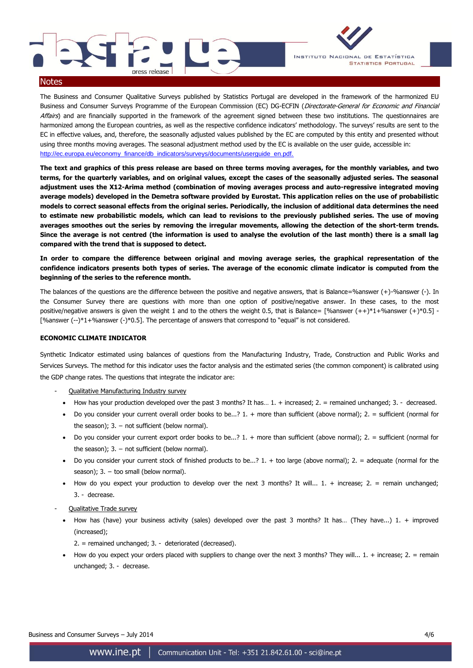



#### **Notes**

The Business and Consumer Qualitative Surveys published by Statistics Portugal are developed in the framework of the harmonized EU Business and Consumer Surveys Programme of the European Commission (EC) DG-ECFIN (Directorate-General for Economic and Financial Affairs) and are financially supported in the framework of the agreement signed between these two institutions. The questionnaires are harmonized among the European countries, as well as the respective confidence indicators' methodology. The surveys' results are sent to the EC in effective values, and, therefore, the seasonally adjusted values published by the EC are computed by this entity and presented without using three months moving averages. The seasonal adjustment method used by the EC is available on the user guide, accessible in: [http://ec.europa.eu/economy\\_finance/db\\_indicators/surveys/documents/userguide\\_en.pdf.](http://ec.europa.eu/economy_finance/db_indicators/surveys/documents/userguide_en.pdf.) 

**The text and graphics of this press release are based on three terms moving averages, for the monthly variables, and two terms, for the quarterly variables, and on original values, except the cases of the seasonally adjusted series. The seasonal adjustment uses the X12-Arima method (combination of moving averages process and auto-regressive integrated moving average models) developed in the Demetra software provided by Eurostat. This application relies on the use of probabilistic models to correct seasonal effects from the original series. Periodically, the inclusion of additional data determines the need to estimate new probabilistic models, which can lead to revisions to the previously published series. The use of moving averages smoothes out the series by removing the irregular movements, allowing the detection of the short-term trends. Since the average is not centred (the information is used to analyse the evolution of the last month) there is a small lag compared with the trend that is supposed to detect.**

**In order to compare the difference between original and moving average series, the graphical representation of the confidence indicators presents both types of series. The average of the economic climate indicator is computed from the beginning of the series to the reference month.** 

The balances of the questions are the difference between the positive and negative answers, that is Balance=%answer (+)-%answer (-). In the Consumer Survey there are questions with more than one option of positive/negative answer. In these cases, to the most positive/negative answers is given the weight 1 and to the others the weight 0.5, that is Balance=  $[%answer (++)*1+%answer (+)*0.5] -$ [%answer (--)\*1+%answer (-)\*0.5]. The percentage of answers that correspond to "equal" is not considered.

#### **ECONOMIC CLIMATE INDICATOR**

Synthetic Indicator estimated using balances of questions from the Manufacturing Industry, Trade, Construction and Public Works and Services Surveys. The method for this indicator uses the factor analysis and the estimated series (the common component) is calibrated using the GDP change rates. The questions that integrate the indicator are:

- Qualitative Manufacturing Industry survey
	- How has your production developed over the past 3 months? It has...  $1. +$  increased;  $2. =$  remained unchanged;  $3. -$  decreased.
	- Do you consider your current overall order books to be...?  $1. +$  more than sufficient (above normal);  $2. =$  sufficient (normal for the season);  $3. -$  not sufficient (below normal).
	- Do you consider your current export order books to be...? 1. + more than sufficient (above normal); 2. = sufficient (normal for the season);  $3. -$  not sufficient (below normal).
	- Do you consider your current stock of finished products to be...? 1. + too large (above normal); 2. = adequate (normal for the season);  $3. -$  too small (below normal).
	- How do you expect your production to develop over the next 3 months? It will...  $1. +$  increase;  $2. =$  remain unchanged; 3. - decrease.
- Qualitative Trade survey
	- How has (have) your business activity (sales) developed over the past 3 months? It has... (They have...) 1. + improved (increased);
		- 2. = remained unchanged; 3. deteriorated (decreased).
	- How do you expect your orders placed with suppliers to change over the next 3 months? They will...  $1. +$  increase;  $2. =$  remain unchanged; 3. - decrease.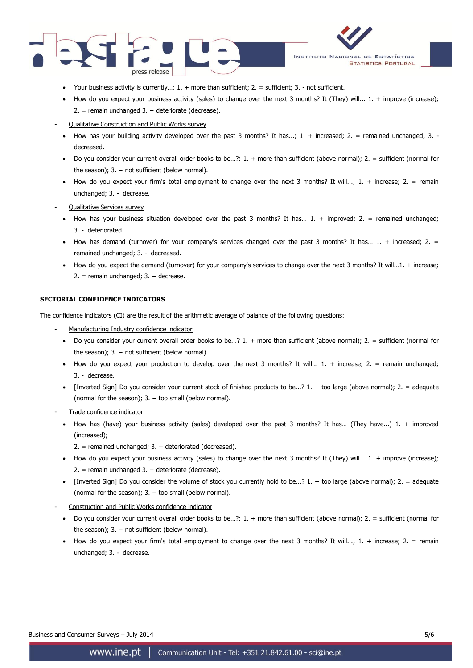



- Your business activity is currently...: 1. + more than sufficient; 2. = sufficient; 3. not sufficient.
- How do you expect your business activity (sales) to change over the next 3 months? It (They) will...  $1. +$  improve (increase); 2. = remain unchanged 3. − deteriorate (decrease).
- Qualitative Construction and Public Works survey
- How has your building activity developed over the past 3 months? It has...;  $1. +$  increased;  $2. =$  remained unchanged;  $3.$ decreased.
- Do you consider your current overall order books to be...?:  $1. +$  more than sufficient (above normal);  $2. =$  sufficient (normal for the season);  $3. -$  not sufficient (below normal).
- How do you expect your firm's total employment to change over the next 3 months? It will...;  $1. +$  increase;  $2. =$  remain unchanged; 3. - decrease.
- Qualitative Services survey
	- How has your business situation developed over the past 3 months? It has... 1. + improved; 2. = remained unchanged; 3. - deteriorated.
	- How has demand (turnover) for your company's services changed over the past 3 months? It has...  $1. +$  increased;  $2. =$ remained unchanged; 3. - decreased.
	- How do you expect the demand (turnover) for your company's services to change over the next 3 months? It will…1. + increase; 2. = remain unchanged; 3. − decrease.

## **SECTORIAL CONFIDENCE INDICATORS**

The confidence indicators (CI) are the result of the arithmetic average of balance of the following questions:

- Manufacturing Industry confidence indicator
- Do you consider your current overall order books to be...?  $1. +$  more than sufficient (above normal);  $2. =$  sufficient (normal for the season);  $3. -$  not sufficient (below normal).
- How do you expect your production to develop over the next 3 months? It will...  $1. +$  increase;  $2. =$  remain unchanged; 3. - decrease.
- [Inverted Sign] Do you consider your current stock of finished products to be...?  $1. +$  too large (above normal);  $2. =$  adequate (normal for the season);  $3. -$  too small (below normal).
- Trade confidence indicator
	- How has (have) your business activity (sales) developed over the past 3 months? It has... (They have...) 1. + improved (increased);
		- 2. = remained unchanged; 3. − deteriorated (decreased).
	- How do you expect your business activity (sales) to change over the next 3 months? It (They) will...  $1. +$  improve (increase); 2. = remain unchanged 3. − deteriorate (decrease).
	- [Inverted Sign] Do you consider the volume of stock you currently hold to be...? 1. + too large (above normal); 2. = adequate (normal for the season):  $3. -$  too small (below normal).
	- Construction and Public Works confidence indicator
	- Do you consider your current overall order books to be…?: 1. + more than sufficient (above normal); 2. = sufficient (normal for the season);  $3. -$  not sufficient (below normal).
	- How do you expect your firm's total employment to change over the next 3 months? It will...;  $1. +$  increase;  $2. =$  remain unchanged; 3. - decrease.